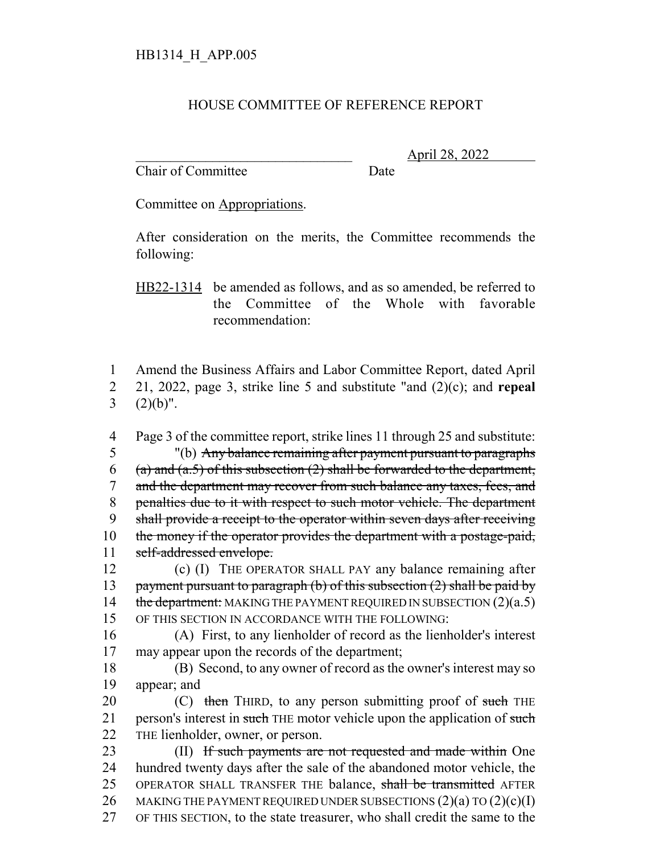## HOUSE COMMITTEE OF REFERENCE REPORT

Chair of Committee Date

\_\_\_\_\_\_\_\_\_\_\_\_\_\_\_\_\_\_\_\_\_\_\_\_\_\_\_\_\_\_\_ April 28, 2022

Committee on Appropriations.

After consideration on the merits, the Committee recommends the following:

HB22-1314 be amended as follows, and as so amended, be referred to the Committee of the Whole with favorable recommendation:

1 Amend the Business Affairs and Labor Committee Report, dated April 2 21, 2022, page 3, strike line 5 and substitute "and (2)(c); and **repeal**  $3(2)(b)$ ".

 Page 3 of the committee report, strike lines 11 through 25 and substitute: "(b) Any balance remaining after payment pursuant to paragraphs 6 (a) and  $(a.5)$  of this subsection (2) shall be forwarded to the department, 7 and the department may recover from such balance any taxes, fees, and penalties due to it with respect to such motor vehicle. The department 9 shall provide a receipt to the operator within seven days after receiving 10 the money if the operator provides the department with a postage-paid, self-addressed envelope. (c) (I) THE OPERATOR SHALL PAY any balance remaining after 13 payment pursuant to paragraph (b) of this subsection  $(2)$  shall be paid by  $t$  the department: MAKING THE PAYMENT REQUIRED IN SUBSECTION  $(2)(a.5)$  OF THIS SECTION IN ACCORDANCE WITH THE FOLLOWING: (A) First, to any lienholder of record as the lienholder's interest may appear upon the records of the department; (B) Second, to any owner of record as the owner's interest may so appear; and  $(C)$  then THIRD, to any person submitting proof of such THE 21 person's interest in such THE motor vehicle upon the application of such THE lienholder, owner, or person. 23 (II) If such payments are not requested and made within One hundred twenty days after the sale of the abandoned motor vehicle, the 25 OPERATOR SHALL TRANSFER THE balance, shall be transmitted AFTER

26 MAKING THE PAYMENT REQUIRED UNDER SUBSECTIONS  $(2)(a)$  TO  $(2)(c)(I)$ 

27 OF THIS SECTION, to the state treasurer, who shall credit the same to the